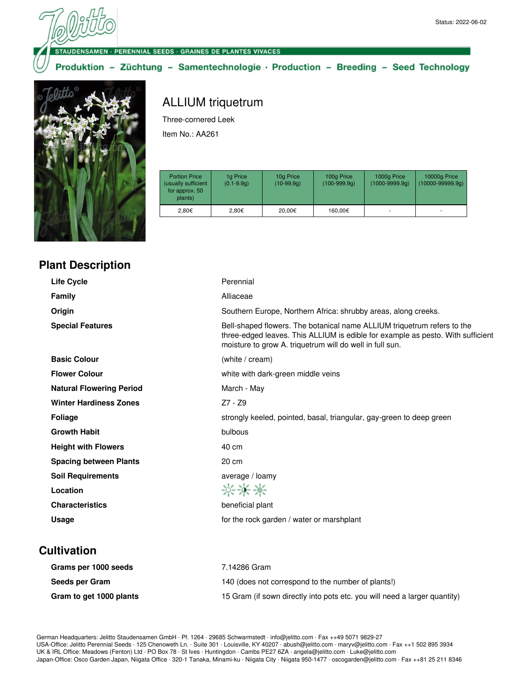UDENSAMEN · PERENNIAL SEEDS · GRAINES DE PLANTES VIVACES

Produktion - Züchtung - Samentechnologie · Production - Breeding - Seed Technology



## ALLIUM triquetrum

Three-cornered Leek

Item No.: AA261

| <b>Portion Price</b><br>(usually sufficient<br>for approx. 50<br>plants) | 1g Price<br>$(0.1 - 9.9q)$ | 10g Price<br>$(10-99.9q)$ | 100g Price<br>$(100-999.9q)$ | 1000g Price<br>$(1000 - 9999.9q)$ | 10000g Price<br>$(10000 - 99999.9q)$ |
|--------------------------------------------------------------------------|----------------------------|---------------------------|------------------------------|-----------------------------------|--------------------------------------|
| 2.80€                                                                    | 2.80€                      | 20.00€                    | 160.00€                      |                                   | ۰                                    |

| <b>Plant Description</b> |  |
|--------------------------|--|
|--------------------------|--|

| Life Cycle                      | Perennial                                                                                                                                                                                                              |
|---------------------------------|------------------------------------------------------------------------------------------------------------------------------------------------------------------------------------------------------------------------|
| <b>Family</b>                   | Alliaceae                                                                                                                                                                                                              |
| Origin                          | Southern Europe, Northern Africa: shrubby areas, along creeks.                                                                                                                                                         |
| <b>Special Features</b>         | Bell-shaped flowers. The botanical name ALLIUM triquetrum refers to the<br>three-edged leaves. This ALLIUM is edible for example as pesto. With sufficient<br>moisture to grow A. triquetrum will do well in full sun. |
| <b>Basic Colour</b>             | (white / cream)                                                                                                                                                                                                        |
| <b>Flower Colour</b>            | white with dark-green middle veins                                                                                                                                                                                     |
| <b>Natural Flowering Period</b> | March - May                                                                                                                                                                                                            |
| <b>Winter Hardiness Zones</b>   | $Z7 - Z9$                                                                                                                                                                                                              |
| <b>Foliage</b>                  | strongly keeled, pointed, basal, triangular, gay-green to deep green                                                                                                                                                   |
| <b>Growth Habit</b>             | bulbous                                                                                                                                                                                                                |
| <b>Height with Flowers</b>      | 40 cm                                                                                                                                                                                                                  |
| <b>Spacing between Plants</b>   | 20 cm                                                                                                                                                                                                                  |
| <b>Soil Requirements</b>        | average / loamy                                                                                                                                                                                                        |
| Location                        | ***                                                                                                                                                                                                                    |
| <b>Characteristics</b>          | beneficial plant                                                                                                                                                                                                       |
| Usage                           | for the rock garden / water or marshplant                                                                                                                                                                              |
|                                 |                                                                                                                                                                                                                        |

## **Cultivation**

| Grams per 1000 seeds    | 7.14286 Gram                                                              |
|-------------------------|---------------------------------------------------------------------------|
| Seeds per Gram          | 140 (does not correspond to the number of plants!)                        |
| Gram to get 1000 plants | 15 Gram (if sown directly into pots etc. you will need a larger quantity) |